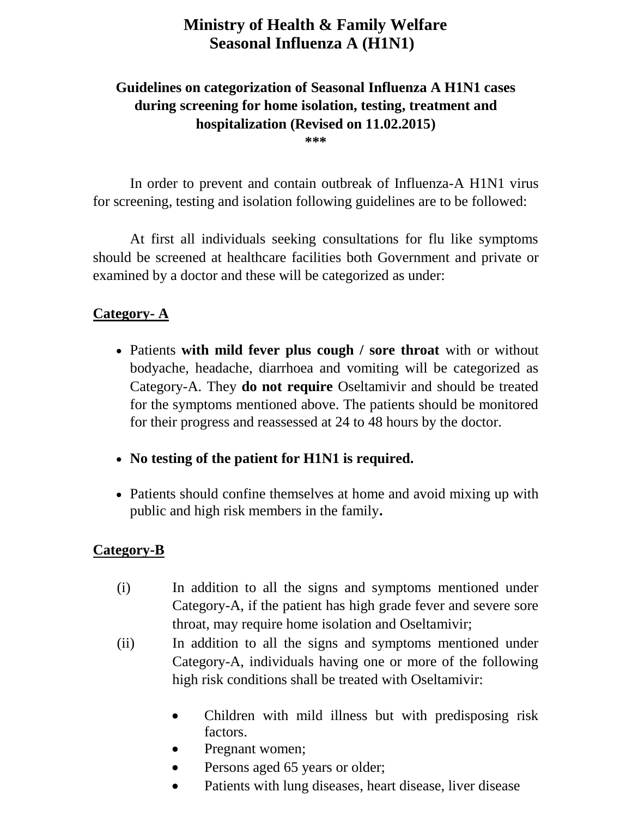# **Ministry of Health & Family Welfare Seasonal Influenza A (H1N1)**

## **Guidelines on categorization of Seasonal Influenza A H1N1 cases during screening for home isolation, testing, treatment and hospitalization (Revised on 11.02.2015)**

**\*\*\***

In order to prevent and contain outbreak of Influenza-A H1N1 virus for screening, testing and isolation following guidelines are to be followed:

At first all individuals seeking consultations for flu like symptoms should be screened at healthcare facilities both Government and private or examined by a doctor and these will be categorized as under:

### **Category- A**

- Patients **with mild fever plus cough / sore throat** with or without bodyache, headache, diarrhoea and vomiting will be categorized as Category-A. They **do not require** Oseltamivir and should be treated for the symptoms mentioned above. The patients should be monitored for their progress and reassessed at 24 to 48 hours by the doctor.
- **No testing of the patient for H1N1 is required.**
- Patients should confine themselves at home and avoid mixing up with public and high risk members in the family**.**

#### **Category-B**

- (i) In addition to all the signs and symptoms mentioned under Category-A, if the patient has high grade fever and severe sore throat, may require home isolation and Oseltamivir;
- (ii) In addition to all the signs and symptoms mentioned under Category-A, individuals having one or more of the following high risk conditions shall be treated with Oseltamivir:
	- Children with mild illness but with predisposing risk factors.
	- Pregnant women;
	- Persons aged 65 years or older;
	- Patients with lung diseases, heart disease, liver disease